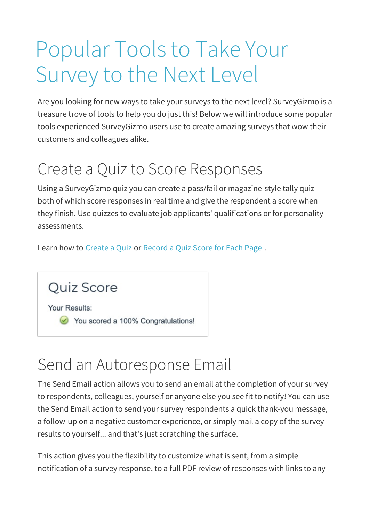# Popular Tools to Take Your Survey to the Next Level

Are you looking for new ways to take your surveys to the next level? SurveyGizmo is a treasure trove of tools to help you do just this! Below we will introduce some popular tools experienced SurveyGizmo users use to create amazing surveys that wow their customers and colleagues alike.

### Create a Quiz to Score Responses

Using a SurveyGizmo quiz you can create a pass/fail or magazine-style tally quiz – both of which score responses in real time and give the respondent a score when they finish. Use quizzes to evaluate job applicants' qualifications or for personality assessments.

Learn how to Create a Quiz or Record a Quiz Score for Each Page .

Quiz Score

Your Results:

You scored a 100% Congratulations!

#### Send an Autoresponse Email

The Send Email action allows you to send an email at the completion of your survey to respondents, colleagues, yourself or anyone else you see fit to notify! You can use the Send Email action to send your survey respondents a quick thank-you message, a follow-up on a negative customer experience, or simply mail a copy of the survey results to yourself... and that's just scratching the surface.

This action gives you the flexibility to customize what is sent, from a simple notification of a survey response, to a full PDF review of responses with links to any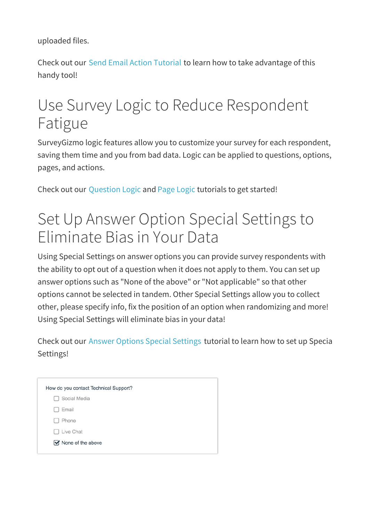uploaded files.

Check out our Send Email Action Tutorial to learn how to take advantage of this handy tool!

### Use Survey Logic to Reduce Respondent Fatigue

SurveyGizmo logic features allow you to customize your survey for each respondent, saving them time and you from bad data. Logic can be applied to questions, options, pages, and actions.

Check out our Question Logic and Page Logic tutorials to get started!

#### Set Up Answer Option Special Settings to Eliminate Bias in Your Data

Using Special Settings on answer options you can provide survey respondents with the ability to opt out of a question when it does not apply to them. You can set up answer options such as "None of the above" or "Not applicable" so that other options cannot be selected in tandem. Other Special Settings allow you to collect other, please specify info, fix the position of an option when randomizing and more! Using Special Settings will eliminate bias in your data!

Check out our Answer Options Special Settings tutorial to learn how to set up Special Settings!

| How do you contact Technical Support? |                                    |
|---------------------------------------|------------------------------------|
|                                       | Social Media                       |
|                                       | Email<br>$\mathbf{1}$              |
|                                       | Phone                              |
|                                       | Live Chat                          |
|                                       | $\triangleright$ None of the above |
|                                       |                                    |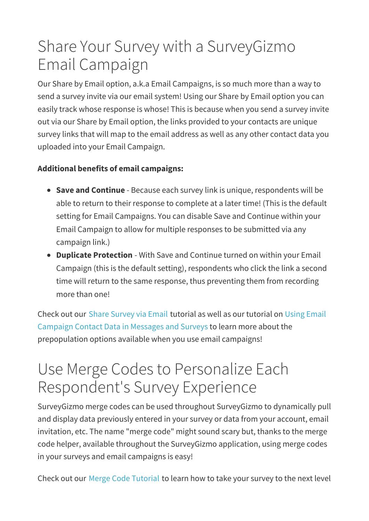## Share Your Survey with a SurveyGizmo Email Campaign

Our Share by Email option, a.k.a Email Campaigns, is so much more than a way to send a survey invite via our email system! Using our Share by Email option you can easily track whose response is whose! This is because when you send a survey invite out via our Share by Email option, the links provided to your contacts are unique survey links that will map to the email address as well as any other contact data you uploaded into your Email Campaign.

#### **Additional benefits of email campaigns:**

- **Save and Continue** Because each survey link is unique, respondents will be able to return to their response to complete at a later time! (This is the default setting for Email Campaigns. You can disable Save and Continue within your Email Campaign to allow for multiple responses to be submitted via any campaign link.)
- **Duplicate Protection** With Save and Continue turned on within your Email Campaign (this is the default setting), respondents who click the link a second time will return to the same response, thus preventing them from recording more than one!

Check out our Share Survey via Email tutorial as well as our tutorial on Using Email Campaign Contact Data in Messages and Surveys to learn more about the prepopulation options available when you use email campaigns!

#### Use Merge Codes to Personalize Each Respondent's Survey Experience

SurveyGizmo merge codes can be used throughout SurveyGizmo to dynamically pull and display data previously entered in your survey or data from your account, email invitation, etc. The name "merge code" might sound scary but, thanks to the merge code helper, available throughout the SurveyGizmo application, using merge codes in your surveys and email campaigns is easy!

Check out our Merge Code Tutorial to learn how to take your survey to the next level